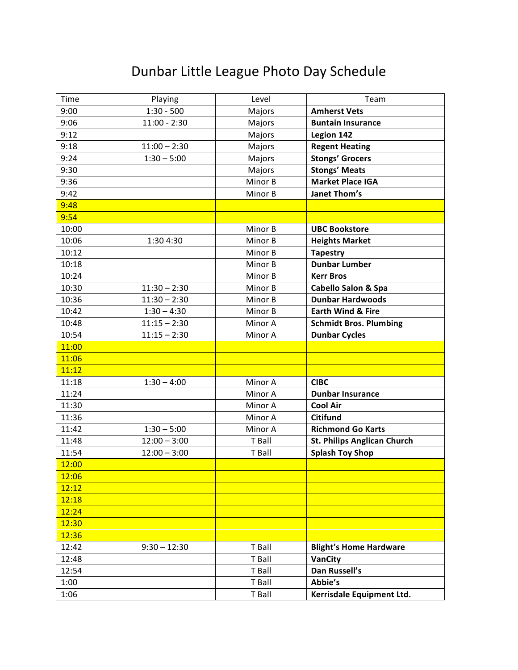## Dunbar Little League Photo Day Schedule

| Time  | Playing        | Level   | Team                               |
|-------|----------------|---------|------------------------------------|
| 9:00  | $1:30 - 500$   | Majors  | <b>Amherst Vets</b>                |
| 9:06  | $11:00 - 2:30$ | Majors  | <b>Buntain Insurance</b>           |
| 9:12  |                | Majors  | Legion 142                         |
| 9:18  | $11:00 - 2:30$ | Majors  | <b>Regent Heating</b>              |
| 9:24  | $1:30 - 5:00$  | Majors  | <b>Stongs' Grocers</b>             |
| 9:30  |                | Majors  | <b>Stongs' Meats</b>               |
| 9:36  |                | Minor B | <b>Market Place IGA</b>            |
| 9:42  |                | Minor B | <b>Janet Thom's</b>                |
| 9:48  |                |         |                                    |
| 9:54  |                |         |                                    |
| 10:00 |                | Minor B | <b>UBC Bookstore</b>               |
| 10:06 | 1:30 4:30      | Minor B | <b>Heights Market</b>              |
| 10:12 |                | Minor B | <b>Tapestry</b>                    |
| 10:18 |                | Minor B | <b>Dunbar Lumber</b>               |
| 10:24 |                | Minor B | <b>Kerr Bros</b>                   |
| 10:30 | $11:30 - 2:30$ | Minor B | <b>Cabello Salon &amp; Spa</b>     |
| 10:36 | $11:30 - 2:30$ | Minor B | <b>Dunbar Hardwoods</b>            |
| 10:42 | $1:30 - 4:30$  | Minor B | <b>Earth Wind &amp; Fire</b>       |
| 10:48 | $11:15 - 2:30$ | Minor A | <b>Schmidt Bros. Plumbing</b>      |
| 10:54 | $11:15 - 2:30$ | Minor A | <b>Dunbar Cycles</b>               |
| 11:00 |                |         |                                    |
| 11:06 |                |         |                                    |
| 11:12 |                |         |                                    |
| 11:18 | $1:30 - 4:00$  | Minor A | <b>CIBC</b>                        |
| 11:24 |                | Minor A | <b>Dunbar Insurance</b>            |
| 11:30 |                | Minor A | <b>Cool Air</b>                    |
| 11:36 |                | Minor A | <b>Citifund</b>                    |
| 11:42 | $1:30 - 5:00$  | Minor A | <b>Richmond Go Karts</b>           |
| 11:48 | $12:00 - 3:00$ | T Ball  | <b>St. Philips Anglican Church</b> |
| 11:54 | $12:00 - 3:00$ | T Ball  | <b>Splash Toy Shop</b>             |
| 12:00 |                |         |                                    |
| 12:06 |                |         |                                    |
| 12:12 |                |         |                                    |
| 12:18 |                |         |                                    |
| 12:24 |                |         |                                    |
| 12:30 |                |         |                                    |
| 12:36 |                |         |                                    |
| 12:42 | $9:30 - 12:30$ | T Ball  | <b>Blight's Home Hardware</b>      |
| 12:48 |                | T Ball  | VanCity                            |
| 12:54 |                | T Ball  | Dan Russell's                      |
| 1:00  |                | T Ball  | Abbie's                            |
| 1:06  |                | T Ball  | Kerrisdale Equipment Ltd.          |